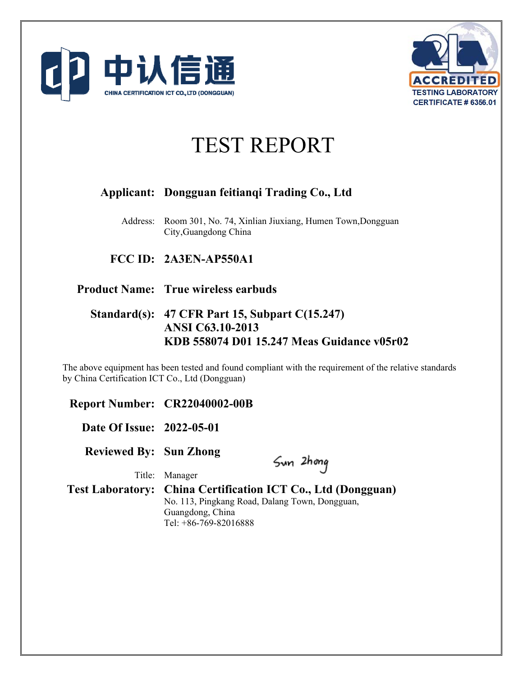



# TEST REPORT

## **Applicant: Dongguan feitianqi Trading Co., Ltd**

Address: Room 301, No. 74, Xinlian Jiuxiang, Humen Town,Dongguan City,Guangdong China

## **FCC ID: 2A3EN-AP550A1**

## **Product Name: True wireless earbuds**

## **Standard(s): 47 CFR Part 15, Subpart C(15.247) ANSI C63.10-2013 KDB 558074 D01 15.247 Meas Guidance v05r02**

The above equipment has been tested and found compliant with the requirement of the relative standards by China Certification ICT Co., Ltd (Dongguan)

**Report Number: CR22040002-00B** 

**Date Of Issue: 2022-05-01** 

**Reviewed By: Sun Zhong** 

Sun 2hong

Title: Manager

**Test Laboratory: China Certification ICT Co., Ltd (Dongguan)**  No. 113, Pingkang Road, Dalang Town, Dongguan, Guangdong, China Tel: +86-769-82016888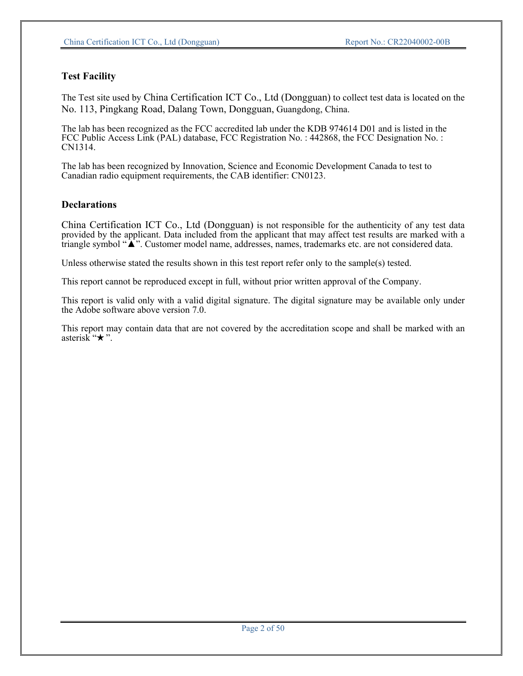## **Test Facility**

The Test site used by China Certification ICT Co., Ltd (Dongguan) to collect test data is located on the No. 113, Pingkang Road, Dalang Town, Dongguan, Guangdong, China.

The lab has been recognized as the FCC accredited lab under the KDB 974614 D01 and is listed in the FCC Public Access Link (PAL) database, FCC Registration No. : 442868, the FCC Designation No. : CN1314.

The lab has been recognized by Innovation, Science and Economic Development Canada to test to Canadian radio equipment requirements, the CAB identifier: CN0123.

#### **Declarations**

China Certification ICT Co., Ltd (Dongguan) is not responsible for the authenticity of any test data provided by the applicant. Data included from the applicant that may affect test results are marked with a triangle symbol "▲". Customer model name, addresses, names, trademarks etc. are not considered data.

Unless otherwise stated the results shown in this test report refer only to the sample(s) tested.

This report cannot be reproduced except in full, without prior written approval of the Company.

This report is valid only with a valid digital signature. The digital signature may be available only under the Adobe software above version 7.0.

This report may contain data that are not covered by the accreditation scope and shall be marked with an asterisk " $\star$ ".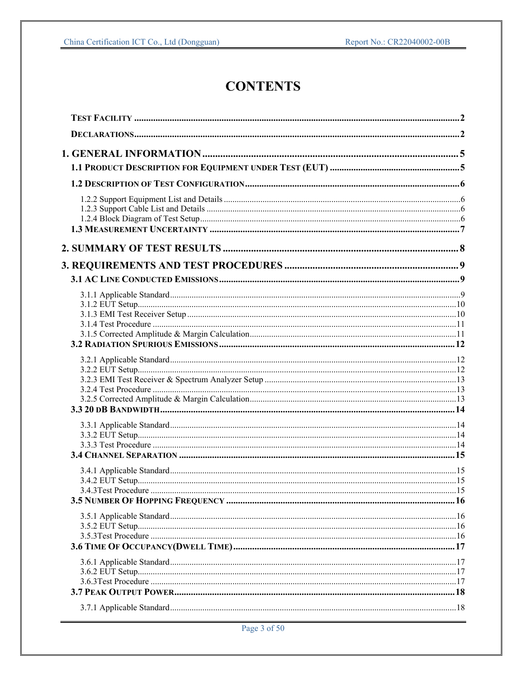## **CONTENTS**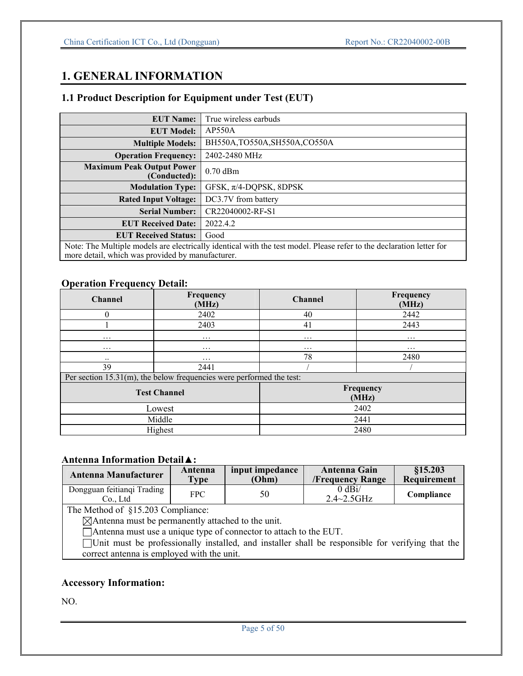## **1. GENERAL INFORMATION**

## **1.1 Product Description for Equipment under Test (EUT)**

| <b>EUT Name:</b>                                                                                                     | True wireless earbuds          |  |
|----------------------------------------------------------------------------------------------------------------------|--------------------------------|--|
| <b>EUT Model:</b>                                                                                                    | AP550A                         |  |
| <b>Multiple Models:</b>                                                                                              | BH550A, TO550A, SH550A, CO550A |  |
| <b>Operation Frequency:</b>                                                                                          | 2402-2480 MHz                  |  |
| <b>Maximum Peak Output Power</b><br>(Conducted):                                                                     | $0.70$ dBm                     |  |
| <b>Modulation Type:</b>                                                                                              | GFSK, $\pi$ /4-DQPSK, 8DPSK    |  |
| <b>Rated Input Voltage:</b>                                                                                          | DC3.7V from battery            |  |
| <b>Serial Number:</b>                                                                                                | CR22040002-RF-S1               |  |
| <b>EUT Received Date:</b>                                                                                            | 2022.4.2                       |  |
| <b>EUT Received Status:</b>                                                                                          | Good                           |  |
| Note: The Multiple models are electrically identical with the test model. Please refer to the declaration letter for |                                |  |
| more detail, which was provided by manufacturer.                                                                     |                                |  |

## **Operation Frequency Detail:**

| <b>Channel</b>      | Frequency<br>(MHz)                                                      | <b>Channel</b> | Frequency<br>(MHz) |
|---------------------|-------------------------------------------------------------------------|----------------|--------------------|
| $\theta$            | 2402                                                                    | 40             | 2442               |
|                     | 2403                                                                    | 41             | 2443               |
| $\cdots$            | $\cdots$                                                                | $\cdots$       | $\cdots$           |
| $\cdots$            | $\cdots$                                                                | $\cdots$       | $\cdots$           |
| $\cdot \cdot$       | $\cdots$                                                                | 78             | 2480               |
| 39                  | 2441                                                                    |                |                    |
|                     | Per section $15.31(m)$ , the below frequencies were performed the test: |                |                    |
| <b>Test Channel</b> |                                                                         |                | Frequency<br>(MHz) |
| Lowest              |                                                                         | 2402           |                    |
| Middle              |                                                                         | 2441           |                    |
| Highest             |                                                                         | 2480           |                    |

## **Antenna Information Detail**▲**:**

| Antenna Manufacturer                 | Antenna    | input impedance | Antenna Gain                          | \$15.203    |
|--------------------------------------|------------|-----------------|---------------------------------------|-------------|
|                                      | Type       | (Ohm)           | <b>/Frequency Range</b>               | Requirement |
| Dongguan feitiangi Trading<br>Co Ltd | <b>FPC</b> | 50              | $0 \text{ dBi}$<br>$2.4 \sim 2.5$ GHz | Compliance  |

The Method of §15.203 Compliance:

Antenna must be permanently attached to the unit.

Antenna must use a unique type of connector to attach to the EUT.

Unit must be professionally installed, and installer shall be responsible for verifying that the correct antenna is employed with the unit.

## **Accessory Information:**

NO.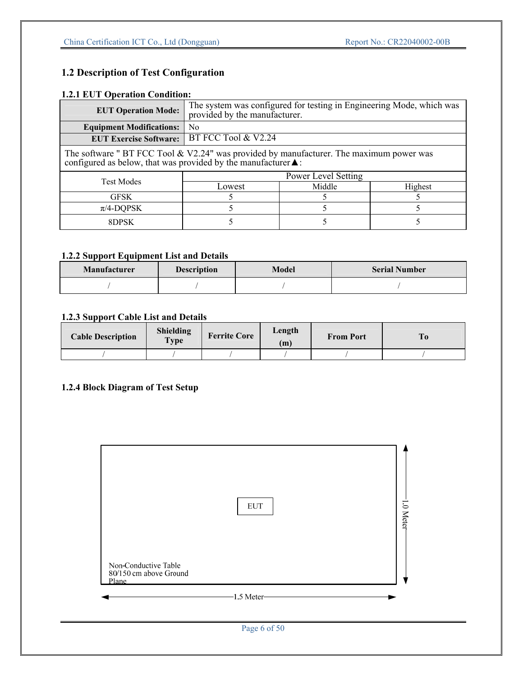## **1.2 Description of Test Configuration**

## **1.2.1 EUT Operation Condition:**

| <b>EUT Operation Mode:</b>                                                                                                                                               | The system was configured for testing in Engineering Mode, which was<br>provided by the manufacturer. |                     |         |  |
|--------------------------------------------------------------------------------------------------------------------------------------------------------------------------|-------------------------------------------------------------------------------------------------------|---------------------|---------|--|
| <b>Equipment Modifications:</b>                                                                                                                                          | N <sub>0</sub>                                                                                        |                     |         |  |
| <b>EUT Exercise Software:</b>                                                                                                                                            | BT FCC Tool & V2.24                                                                                   |                     |         |  |
| The software " BT FCC Tool & V2.24" was provided by manufacturer. The maximum power was<br>configured as below, that was provided by the manufacturer $\blacktriangle$ : |                                                                                                       |                     |         |  |
| <b>Test Modes</b>                                                                                                                                                        |                                                                                                       | Power Level Setting |         |  |
|                                                                                                                                                                          | Lowest                                                                                                | Middle              | Highest |  |
| <b>GFSK</b>                                                                                                                                                              |                                                                                                       |                     |         |  |
| $\pi$ /4-DQPSK                                                                                                                                                           |                                                                                                       |                     |         |  |
| 8DPSK                                                                                                                                                                    |                                                                                                       |                     |         |  |

## **1.2.2 Support Equipment List and Details**

| <b>Manufacturer</b><br><b>Description</b> |  | Model | <b>Serial Number</b> |  |
|-------------------------------------------|--|-------|----------------------|--|
|                                           |  |       |                      |  |

## **1.2.3 Support Cable List and Details**

| <b>Cable Description</b> | Shielding<br>Type | <b>Ferrite Core</b> | Length<br>(m) | <b>From Port</b> | T <sub>0</sub> |
|--------------------------|-------------------|---------------------|---------------|------------------|----------------|
|                          |                   |                     |               |                  |                |

## **1.2.4 Block Diagram of Test Setup**

|                                                         | <b>EUT</b>  | .0 Meter |
|---------------------------------------------------------|-------------|----------|
| Non-Conductive Table<br>80/150 cm above Ground<br>Plane |             |          |
|                                                         | -1.5 Meter- |          |

Page 6 of 50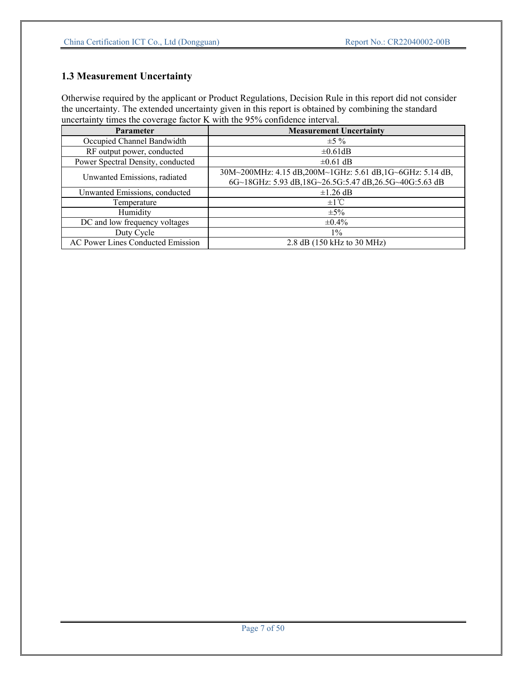## **1.3 Measurement Uncertainty**

Otherwise required by the applicant or Product Regulations, Decision Rule in this report did not consider the uncertainty. The extended uncertainty given in this report is obtained by combining the standard uncertainty times the coverage factor K with the 95% confidence interval.

| <b>Parameter</b>                         | <b>Measurement Uncertainty</b>                           |
|------------------------------------------|----------------------------------------------------------|
| Occupied Channel Bandwidth               | $\pm$ 5 %                                                |
| RF output power, conducted               | $\pm 0.61$ dB                                            |
| Power Spectral Density, conducted        | $\pm 0.61$ dB                                            |
| Unwanted Emissions, radiated             | 30M~200MHz: 4.15 dB,200M~1GHz: 5.61 dB,1G~6GHz: 5.14 dB, |
|                                          | 6G~18GHz: 5.93 dB,18G~26.5G:5.47 dB,26.5G~40G:5.63 dB    |
| Unwanted Emissions, conducted            | $\pm 1.26$ dB                                            |
| Temperature                              | $\pm 1^{\circ}C$                                         |
| Humidity                                 | $\pm 5\%$                                                |
| DC and low frequency voltages            | $\pm 0.4\%$                                              |
| Duty Cycle                               | $1\%$                                                    |
| <b>AC Power Lines Conducted Emission</b> | 2.8 dB (150 kHz to 30 MHz)                               |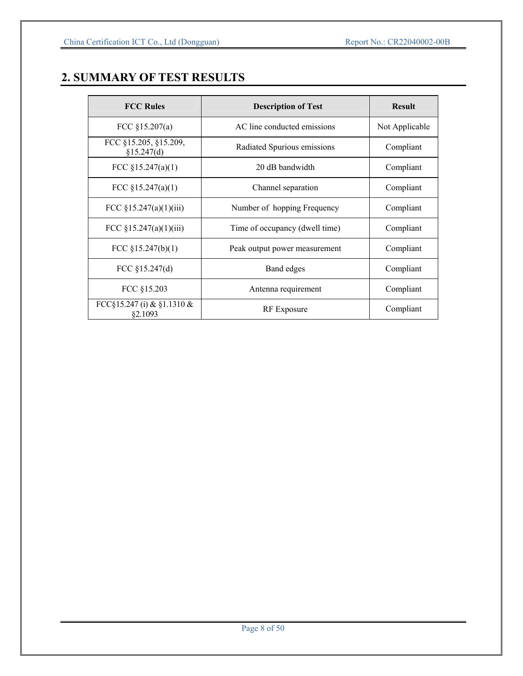## **2. SUMMARY OF TEST RESULTS**

| <b>FCC Rules</b>                      | <b>Description of Test</b>     | <b>Result</b>  |
|---------------------------------------|--------------------------------|----------------|
| FCC $$15.207(a)$                      | AC line conducted emissions    | Not Applicable |
| FCC §15.205, §15.209,<br>§15.247(d)   | Radiated Spurious emissions    | Compliant      |
| FCC $$15.247(a)(1)$                   | 20 dB bandwidth                | Compliant      |
| FCC $$15.247(a)(1)$                   | Channel separation             | Compliant      |
| FCC $§15.247(a)(1)(iii)$              | Number of hopping Frequency    | Compliant      |
| FCC §15.247(a)(1)(iii)                | Time of occupancy (dwell time) | Compliant      |
| FCC $$15.247(b)(1)$                   | Peak output power measurement  | Compliant      |
| FCC $$15.247(d)$                      | Band edges                     | Compliant      |
| FCC §15.203                           | Antenna requirement            | Compliant      |
| FCC§15.247 (i) & §1.1310 &<br>§2.1093 | RF Exposure                    | Compliant      |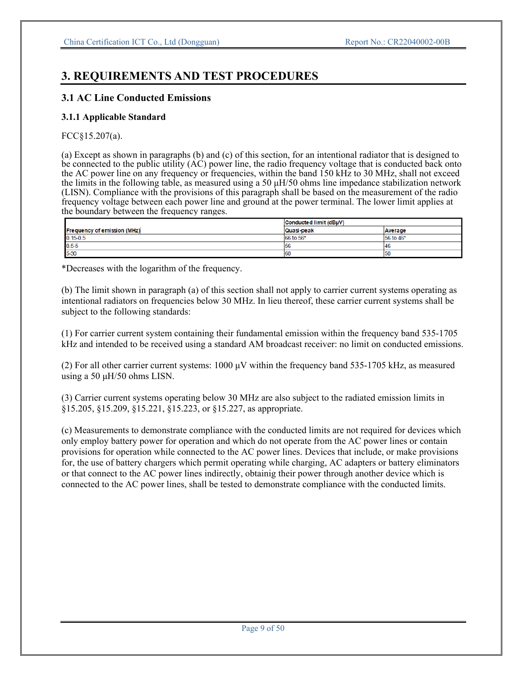## **3. REQUIREMENTS AND TEST PROCEDURES**

## **3.1 AC Line Conducted Emissions**

## **3.1.1 Applicable Standard**

## FCC§15.207(a).

(a) Except as shown in paragraphs (b) and (c) of this section, for an intentional radiator that is designed to be connected to the public utility (AC) power line, the radio frequency voltage that is conducted back onto the AC power line on any frequency or frequencies, within the band 150 kHz to 30 MHz, shall not exceed the limits in the following table, as measured using a 50 μH/50 ohms line impedance stabilization network (LISN). Compliance with the provisions of this paragraph shall be based on the measurement of the radio frequency voltage between each power line and ground at the power terminal. The lower limit applies at the boundary between the frequency ranges.

|                                    | Conducted limit (dBµV) |           |
|------------------------------------|------------------------|-----------|
| <b>Frequency of emission (MHz)</b> | Quasi-peak             | Average   |
| $0.15 - 0.5$                       | 66 to 56*              | 56 to 46* |
| $0.5 - 5$                          | 56                     | 146       |
| 5-30                               | 60                     | 150       |

\*Decreases with the logarithm of the frequency.

(b) The limit shown in paragraph (a) of this section shall not apply to carrier current systems operating as intentional radiators on frequencies below 30 MHz. In lieu thereof, these carrier current systems shall be subject to the following standards:

(1) For carrier current system containing their fundamental emission within the frequency band 535-1705 kHz and intended to be received using a standard AM broadcast receiver: no limit on conducted emissions.

(2) For all other carrier current systems: 1000 μV within the frequency band 535-1705 kHz, as measured using a 50 μH/50 ohms LISN.

(3) Carrier current systems operating below 30 MHz are also subject to the radiated emission limits in §15.205, §15.209, §15.221, §15.223, or §15.227, as appropriate.

(c) Measurements to demonstrate compliance with the conducted limits are not required for devices which only employ battery power for operation and which do not operate from the AC power lines or contain provisions for operation while connected to the AC power lines. Devices that include, or make provisions for, the use of battery chargers which permit operating while charging, AC adapters or battery eliminators or that connect to the AC power lines indirectly, obtainig their power through another device which is connected to the AC power lines, shall be tested to demonstrate compliance with the conducted limits.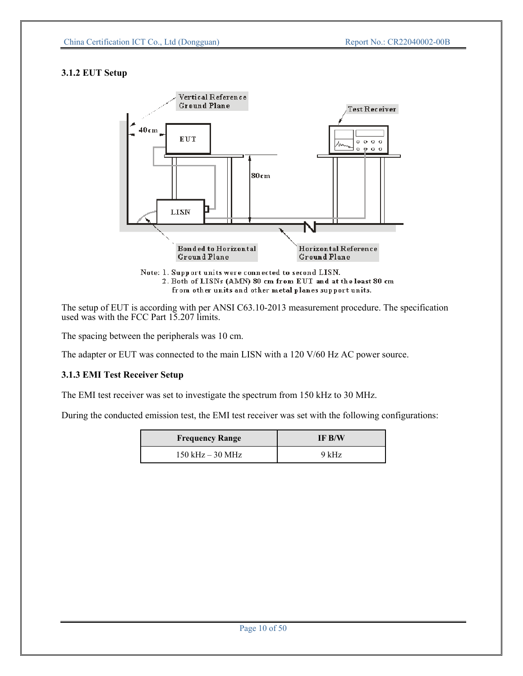## **3.1.2 EUT Setup**



from other units and other metal planes support units.

The setup of EUT is according with per ANSI C63.10-2013 measurement procedure. The specification used was with the FCC Part 15.207 limits.

The spacing between the peripherals was 10 cm.

The adapter or EUT was connected to the main LISN with a 120 V/60 Hz AC power source.

#### **3.1.3 EMI Test Receiver Setup**

The EMI test receiver was set to investigate the spectrum from 150 kHz to 30 MHz.

During the conducted emission test, the EMI test receiver was set with the following configurations:

| <b>Frequency Range</b> | IF B/W |  |  |
|------------------------|--------|--|--|
| $150$ kHz $-30$ MHz    | 9 kHz  |  |  |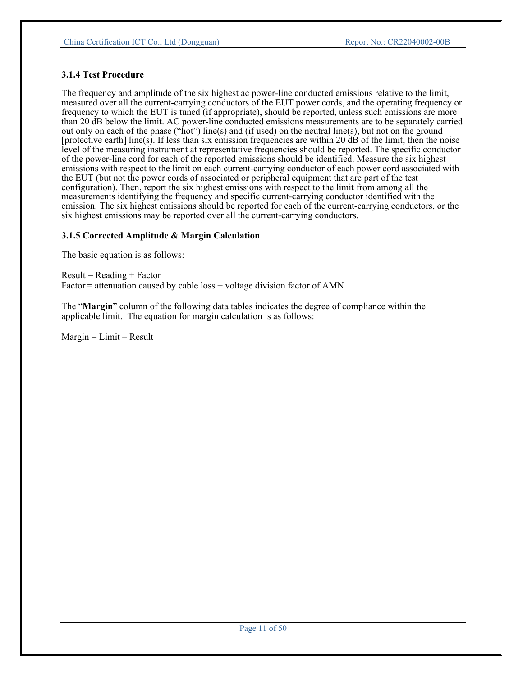#### **3.1.4 Test Procedure**

The frequency and amplitude of the six highest ac power-line conducted emissions relative to the limit, measured over all the current-carrying conductors of the EUT power cords, and the operating frequency or frequency to which the EUT is tuned (if appropriate), should be reported, unless such emissions are more than 20 dB below the limit. AC power-line conducted emissions measurements are to be separately carried out only on each of the phase ("hot") line(s) and (if used) on the neutral line(s), but not on the ground [protective earth] line(s). If less than six emission frequencies are within 20 dB of the limit, then the noise level of the measuring instrument at representative frequencies should be reported. The specific conductor of the power-line cord for each of the reported emissions should be identified. Measure the six highest emissions with respect to the limit on each current-carrying conductor of each power cord associated with the EUT (but not the power cords of associated or peripheral equipment that are part of the test configuration). Then, report the six highest emissions with respect to the limit from among all the measurements identifying the frequency and specific current-carrying conductor identified with the emission. The six highest emissions should be reported for each of the current-carrying conductors, or the six highest emissions may be reported over all the current-carrying conductors.

#### **3.1.5 Corrected Amplitude & Margin Calculation**

The basic equation is as follows:

 $Result = Reading + Factor$  $Factor =$  attenuation caused by cable  $loss + voltage$  division factor of AMN

The "**Margin**" column of the following data tables indicates the degree of compliance within the applicable limit. The equation for margin calculation is as follows:

 $Margin = Limit - Result$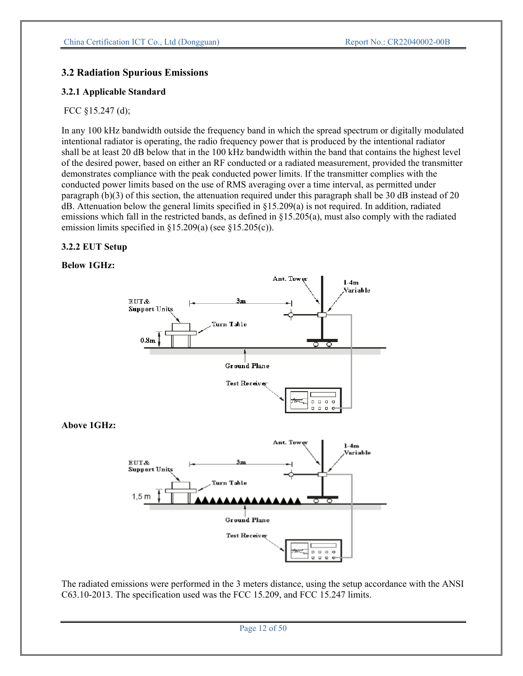## **3.2 Radiation Spurious Emissions**

### **3.2.1 Applicable Standard**

#### FCC §15.247 (d);

In any 100 kHz bandwidth outside the frequency band in which the spread spectrum or digitally modulated intentional radiator is operating, the radio frequency power that is produced by the intentional radiator shall be at least 20 dB below that in the 100 kHz bandwidth within the band that contains the highest level of the desired power, based on either an RF conducted or a radiated measurement, provided the transmitter demonstrates compliance with the peak conducted power limits. If the transmitter complies with the conducted power limits based on the use of RMS averaging over a time interval, as permitted under paragraph (b)(3) of this section, the attenuation required under this paragraph shall be 30 dB instead of 20 dB. Attenuation below the general limits specified in §15.209(a) is not required. In addition, radiated emissions which fall in the restricted bands, as defined in §15.205(a), must also comply with the radiated emission limits specified in §15.209(a) (see §15.205(c)).

#### **3.2.2 EUT Setup**

#### **Below 1GHz:**



The radiated emissions were performed in the 3 meters distance, using the setup accordance with the ANSI C63.10-2013. The specification used was the FCC 15.209, and FCC 15.247 limits.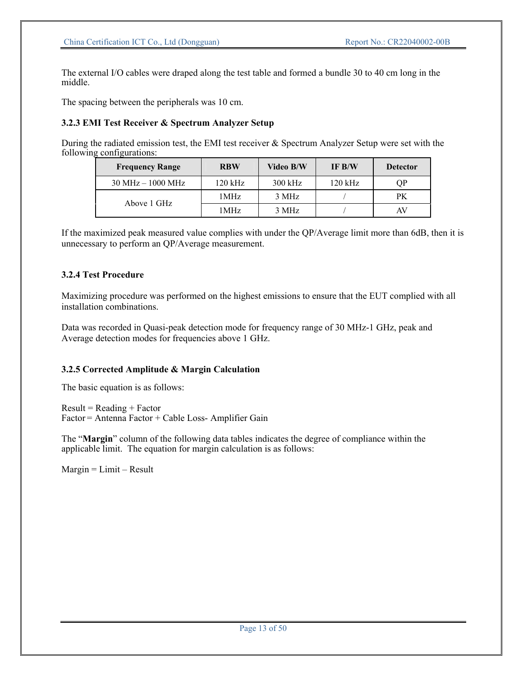The external I/O cables were draped along the test table and formed a bundle 30 to 40 cm long in the middle.

The spacing between the peripherals was 10 cm.

#### **3.2.3 EMI Test Receiver & Spectrum Analyzer Setup**

During the radiated emission test, the EMI test receiver & Spectrum Analyzer Setup were set with the following configurations:

| <b>Frequency Range</b>              | <b>RBW</b>        | Video B/W | IF B/W    | <b>Detector</b> |
|-------------------------------------|-------------------|-----------|-----------|-----------------|
| $30 \text{ MHz} - 1000 \text{ MHz}$ | $120$ kHz         | $300$ kHz | $120$ kHz | ОP              |
| Above 1 GHz                         | 1MHz              | 3 MHz     |           | <b>PK</b>       |
|                                     | 1 MH <sub>z</sub> | 3 MHz     |           | AV              |

If the maximized peak measured value complies with under the QP/Average limit more than 6dB, then it is unnecessary to perform an QP/Average measurement.

#### **3.2.4 Test Procedure**

Maximizing procedure was performed on the highest emissions to ensure that the EUT complied with all installation combinations.

Data was recorded in Quasi-peak detection mode for frequency range of 30 MHz-1 GHz, peak and Average detection modes for frequencies above 1 GHz.

#### **3.2.5 Corrected Amplitude & Margin Calculation**

The basic equation is as follows:

 $Result = Reading + Factor$ Factor = Antenna Factor + Cable Loss- Amplifier Gain

The "**Margin**" column of the following data tables indicates the degree of compliance within the applicable limit. The equation for margin calculation is as follows:

 $Margin = Limit - Result$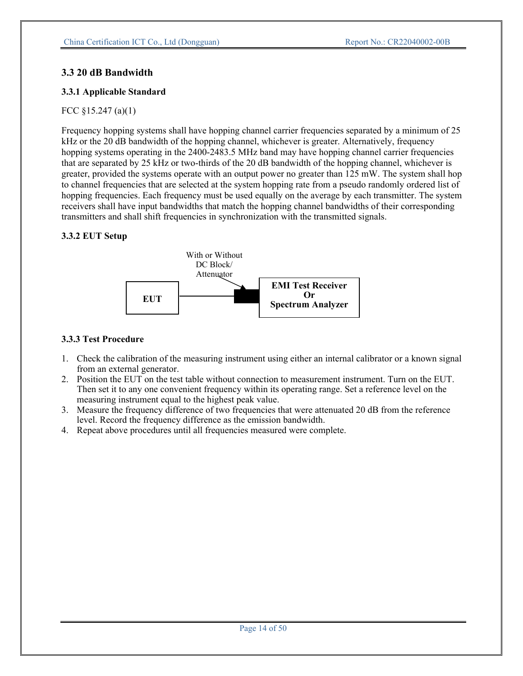## **3.3 20 dB Bandwidth**

## **3.3.1 Applicable Standard**

## FCC §15.247 (a)(1)

Frequency hopping systems shall have hopping channel carrier frequencies separated by a minimum of 25 kHz or the 20 dB bandwidth of the hopping channel, whichever is greater. Alternatively, frequency hopping systems operating in the 2400-2483.5 MHz band may have hopping channel carrier frequencies that are separated by 25 kHz or two-thirds of the 20 dB bandwidth of the hopping channel, whichever is greater, provided the systems operate with an output power no greater than 125 mW. The system shall hop to channel frequencies that are selected at the system hopping rate from a pseudo randomly ordered list of hopping frequencies. Each frequency must be used equally on the average by each transmitter. The system receivers shall have input bandwidths that match the hopping channel bandwidths of their corresponding transmitters and shall shift frequencies in synchronization with the transmitted signals.

## **3.3.2 EUT Setup**



## **3.3.3 Test Procedure**

- 1. Check the calibration of the measuring instrument using either an internal calibrator or a known signal from an external generator.
- 2. Position the EUT on the test table without connection to measurement instrument. Turn on the EUT. Then set it to any one convenient frequency within its operating range. Set a reference level on the measuring instrument equal to the highest peak value.
- 3. Measure the frequency difference of two frequencies that were attenuated 20 dB from the reference level. Record the frequency difference as the emission bandwidth.
- 4. Repeat above procedures until all frequencies measured were complete.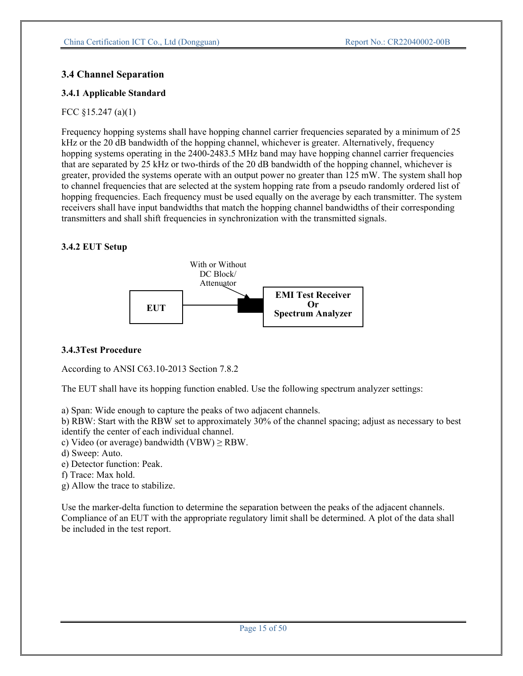## **3.4 Channel Separation**

## **3.4.1 Applicable Standard**

## FCC §15.247 (a)(1)

Frequency hopping systems shall have hopping channel carrier frequencies separated by a minimum of 25 kHz or the 20 dB bandwidth of the hopping channel, whichever is greater. Alternatively, frequency hopping systems operating in the 2400-2483.5 MHz band may have hopping channel carrier frequencies that are separated by 25 kHz or two-thirds of the 20 dB bandwidth of the hopping channel, whichever is greater, provided the systems operate with an output power no greater than 125 mW. The system shall hop to channel frequencies that are selected at the system hopping rate from a pseudo randomly ordered list of hopping frequencies. Each frequency must be used equally on the average by each transmitter. The system receivers shall have input bandwidths that match the hopping channel bandwidths of their corresponding transmitters and shall shift frequencies in synchronization with the transmitted signals.

## **3.4.2 EUT Setup**



## **3.4.3Test Procedure**

According to ANSI C63.10-2013 Section 7.8.2

The EUT shall have its hopping function enabled. Use the following spectrum analyzer settings:

a) Span: Wide enough to capture the peaks of two adjacent channels.

b) RBW: Start with the RBW set to approximately 30% of the channel spacing; adjust as necessary to best identify the center of each individual channel.

- c) Video (or average) bandwidth (VBW)  $\ge$  RBW.
- d) Sweep: Auto.
- e) Detector function: Peak.
- f) Trace: Max hold.
- g) Allow the trace to stabilize.

Use the marker-delta function to determine the separation between the peaks of the adjacent channels. Compliance of an EUT with the appropriate regulatory limit shall be determined. A plot of the data shall be included in the test report.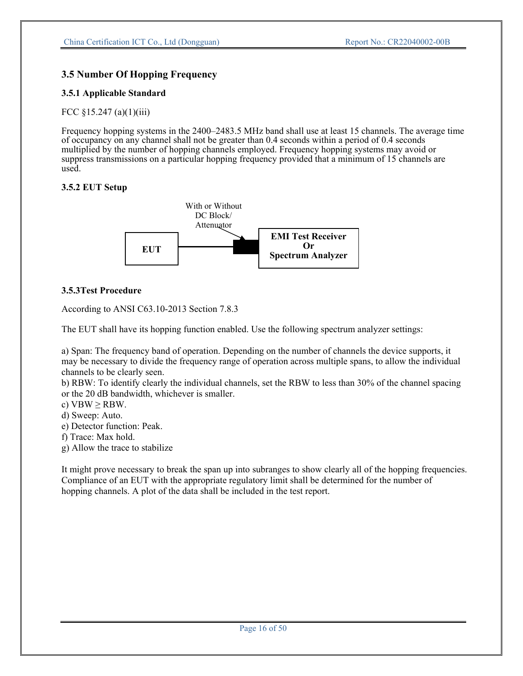## **3.5 Number Of Hopping Frequency**

## **3.5.1 Applicable Standard**

FCC §15.247 (a)(1)(iii)

Frequency hopping systems in the 2400–2483.5 MHz band shall use at least 15 channels. The average time of occupancy on any channel shall not be greater than 0.4 seconds within a period of 0.4 seconds multiplied by the number of hopping channels employed. Frequency hopping systems may avoid or suppress transmissions on a particular hopping frequency provided that a minimum of 15 channels are used.

## **3.5.2 EUT Setup**



## **3.5.3Test Procedure**

According to ANSI C63.10-2013 Section 7.8.3

The EUT shall have its hopping function enabled. Use the following spectrum analyzer settings:

a) Span: The frequency band of operation. Depending on the number of channels the device supports, it may be necessary to divide the frequency range of operation across multiple spans, to allow the individual channels to be clearly seen.

b) RBW: To identify clearly the individual channels, set the RBW to less than 30% of the channel spacing or the 20 dB bandwidth, whichever is smaller.

c)  $VBW \geq RBW$ .

d) Sweep: Auto.

e) Detector function: Peak.

f) Trace: Max hold.

g) Allow the trace to stabilize

It might prove necessary to break the span up into subranges to show clearly all of the hopping frequencies. Compliance of an EUT with the appropriate regulatory limit shall be determined for the number of hopping channels. A plot of the data shall be included in the test report.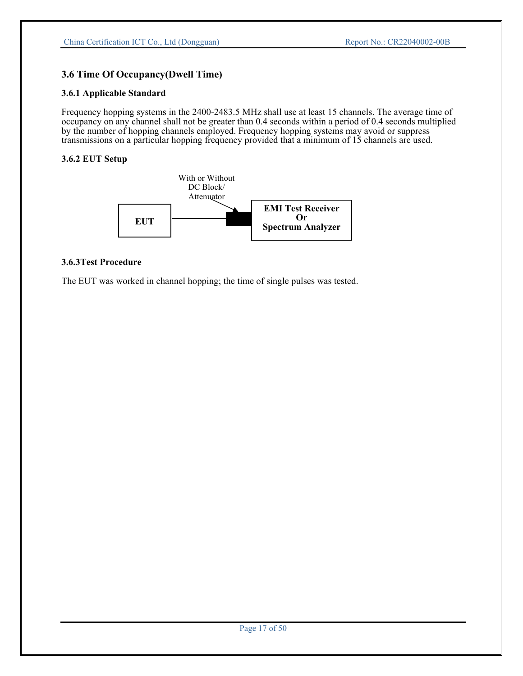## **3.6 Time Of Occupancy(Dwell Time)**

#### **3.6.1 Applicable Standard**

Frequency hopping systems in the 2400-2483.5 MHz shall use at least 15 channels. The average time of occupancy on any channel shall not be greater than 0.4 seconds within a period of 0.4 seconds multiplied by the number of hopping channels employed. Frequency hopping systems may avoid or suppress transmissions on a particular hopping frequency provided that a minimum of 15 channels are used.

### **3.6.2 EUT Setup**



#### **3.6.3Test Procedure**

The EUT was worked in channel hopping; the time of single pulses was tested.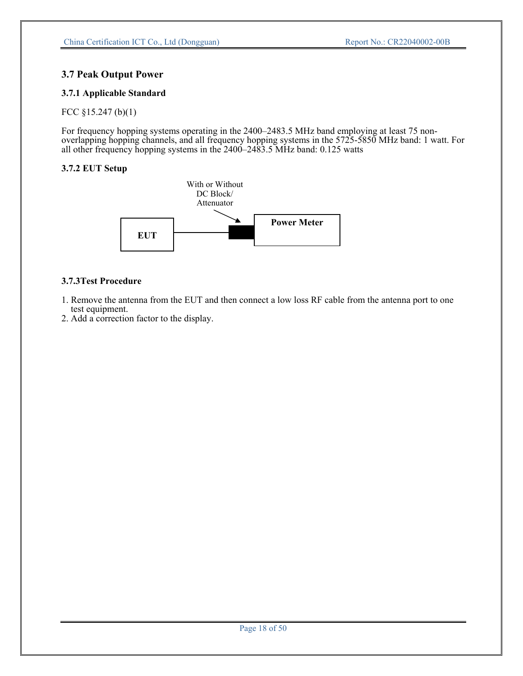## **3.7 Peak Output Power**

## **3.7.1 Applicable Standard**

FCC §15.247 (b)(1)

For frequency hopping systems operating in the 2400–2483.5 MHz band employing at least 75 nonoverlapping hopping channels, and all frequency hopping systems in the 5725-5850 MHz band: 1 watt. For all other frequency hopping systems in the 2400–2483.5 MHz band: 0.125 watts

## **3.7.2 EUT Setup**



## **3.7.3Test Procedure**

- 1. Remove the antenna from the EUT and then connect a low loss RF cable from the antenna port to one test equipment.
- 2. Add a correction factor to the display.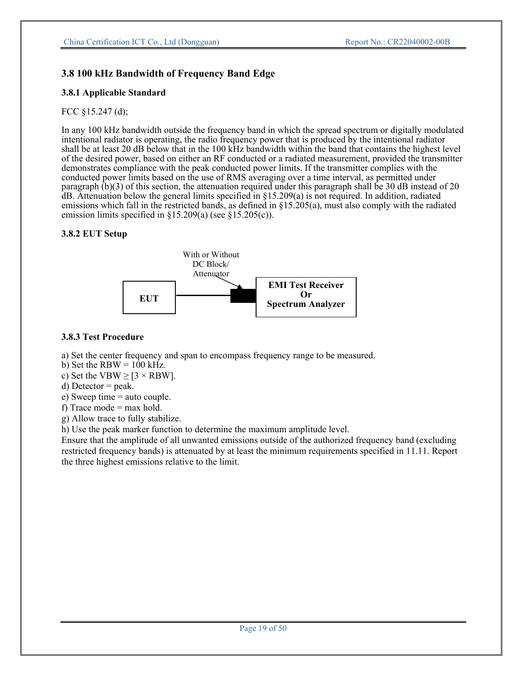## **3.8 100 kHz Bandwidth of Frequency Band Edge**

#### **3.8.1 Applicable Standard**

#### FCC §15.247 (d);

In any 100 kHz bandwidth outside the frequency band in which the spread spectrum or digitally modulated intentional radiator is operating, the radio frequency power that is produced by the intentional radiator shall be at least 20 dB below that in the 100 kHz bandwidth within the band that contains the highest level of the desired power, based on either an RF conducted or a radiated measurement, provided the transmitter demonstrates compliance with the peak conducted power limits. If the transmitter complies with the conducted power limits based on the use of RMS averaging over a time interval, as permitted under paragraph (b)(3) of this section, the attenuation required under this paragraph shall be 30 dB instead of 20  $dB$ . Attenuation below the general limits specified in  $\S15.209(a)$  is not required. In addition, radiated emissions which fall in the restricted bands, as defined in §15.205(a), must also comply with the radiated emission limits specified in §15.209(a) (see §15.205(c)).

#### **3.8.2 EUT Setup**



#### **3.8.3 Test Procedure**

a) Set the center frequency and span to encompass frequency range to be measured.

- b) Set the RBW =  $100$  kHz.
- c) Set the VBW  $\ge$  [3  $\times$  RBW].
- d) Detector  $=$  peak.
- e) Sweep time = auto couple.
- f) Trace mode  $=$  max hold.
- g) Allow trace to fully stabilize.

h) Use the peak marker function to determine the maximum amplitude level.

Ensure that the amplitude of all unwanted emissions outside of the authorized frequency band (excluding restricted frequency bands) is attenuated by at least the minimum requirements specified in 11.11. Report the three highest emissions relative to the limit.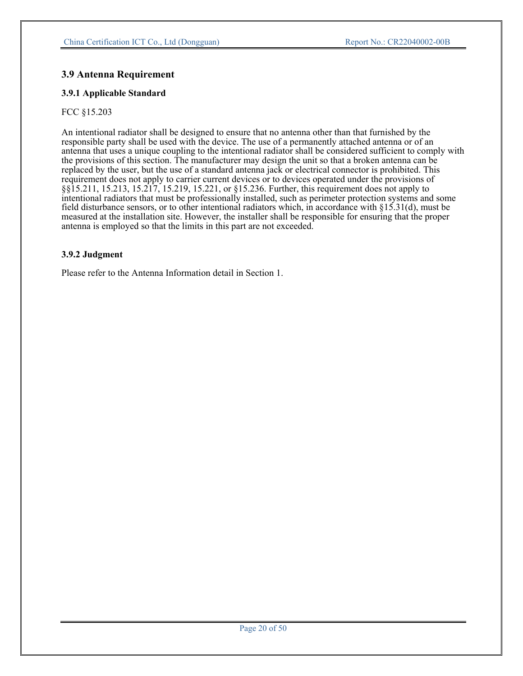## **3.9 Antenna Requirement**

#### **3.9.1 Applicable Standard**

#### FCC §15.203

An intentional radiator shall be designed to ensure that no antenna other than that furnished by the responsible party shall be used with the device. The use of a permanently attached antenna or of an antenna that uses a unique coupling to the intentional radiator shall be considered sufficient to comply with the provisions of this section. The manufacturer may design the unit so that a broken antenna can be replaced by the user, but the use of a standard antenna jack or electrical connector is prohibited. This requirement does not apply to carrier current devices or to devices operated under the provisions of §§15.211, 15.213, 15.217, 15.219, 15.221, or §15.236. Further, this requirement does not apply to intentional radiators that must be professionally installed, such as perimeter protection systems and some field disturbance sensors, or to other intentional radiators which, in accordance with §15.31(d), must be measured at the installation site. However, the installer shall be responsible for ensuring that the proper antenna is employed so that the limits in this part are not exceeded.

#### **3.9.2 Judgment**

Please refer to the Antenna Information detail in Section 1.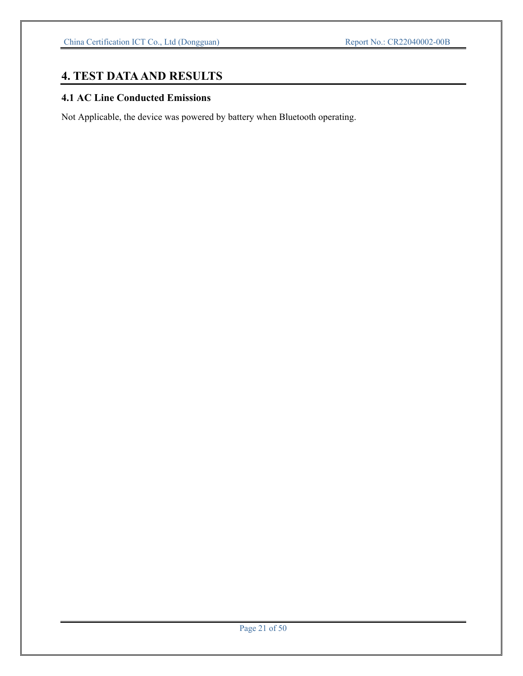## **4. TEST DATA AND RESULTS**

## **4.1 AC Line Conducted Emissions**

Not Applicable, the device was powered by battery when Bluetooth operating.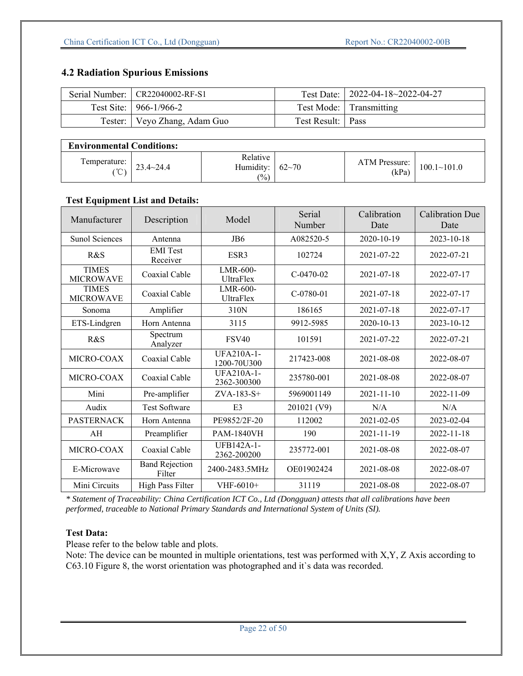## **4.2 Radiation Spurious Emissions**

| Serial Number:   CR22040002-RF-S1 |                     | Test Date:   2022-04-18~2022-04-27 |
|-----------------------------------|---------------------|------------------------------------|
| Test Site: $\vert$ 966-1/966-2    |                     | Test Mode: Transmitting            |
| Tester:   Veyo Zhang, Adam Guo    | Test Result:   Pass |                                    |

## **Environmental Conditions:**

| femperature:<br>$\sim$<br>$\check{ }$ | $23.4 \times 24.4$ | Relative<br>$\mathbf{r} = \mathbf{r} + \mathbf{r}$<br>:dumıdıtv<br>$\frac{1}{2}$ ( $\frac{9}{2}$ ) | $62 - 70$ | ATM Pressure:<br>(kPa) | $100.1 - 101.0$ |  |
|---------------------------------------|--------------------|----------------------------------------------------------------------------------------------------|-----------|------------------------|-----------------|--|

#### **Test Equipment List and Details:**

| Manufacturer                     | Description                     | Model                            | Serial<br>Number | Calibration<br>Date | <b>Calibration Due</b><br>Date |
|----------------------------------|---------------------------------|----------------------------------|------------------|---------------------|--------------------------------|
| Sunol Sciences                   | Antenna                         | JB6                              | A082520-5        | 2020-10-19          | 2023-10-18                     |
| R&S                              | <b>EMI</b> Test<br>Receiver     | ESR <sub>3</sub>                 | 102724           | 2021-07-22          | 2022-07-21                     |
| <b>TIMES</b><br><b>MICROWAVE</b> | Coaxial Cable                   | LMR-600-<br><b>UltraFlex</b>     | $C-0470-02$      | 2021-07-18          | 2022-07-17                     |
| <b>TIMES</b><br><b>MICROWAVE</b> | Coaxial Cable                   | LMR-600-<br><b>UltraFlex</b>     | $C-0780-01$      | 2021-07-18          | 2022-07-17                     |
| Sonoma                           | Amplifier                       | 310N                             | 186165           | 2021-07-18          | 2022-07-17                     |
| ETS-Lindgren                     | Horn Antenna                    | 3115                             | 9912-5985        | 2020-10-13          | 2023-10-12                     |
| R&S                              | Spectrum<br>Analyzer            | <b>FSV40</b>                     | 101591           | 2021-07-22          | 2022-07-21                     |
| MICRO-COAX                       | Coaxial Cable                   | <b>UFA210A-1-</b><br>1200-70U300 | 217423-008       | 2021-08-08          | 2022-08-07                     |
| MICRO-COAX                       | Coaxial Cable                   | <b>UFA210A-1-</b><br>2362-300300 | 235780-001       | 2021-08-08          | 2022-08-07                     |
| Mini                             | Pre-amplifier                   | $ZVA-183-S+$                     | 5969001149       | 2021-11-10          | 2022-11-09                     |
| Audix                            | <b>Test Software</b>            | E <sub>3</sub>                   | 201021 (V9)      | N/A                 | N/A                            |
| <b>PASTERNACK</b>                | Horn Antenna                    | PE9852/2F-20                     | 112002           | 2021-02-05          | 2023-02-04                     |
| AH                               | Preamplifier                    | <b>PAM-1840VH</b>                | 190              | 2021-11-19          | 2022-11-18                     |
| MICRO-COAX                       | Coaxial Cable                   | <b>UFB142A-1-</b><br>2362-200200 | 235772-001       | 2021-08-08          | 2022-08-07                     |
| E-Microwave                      | <b>Band Rejection</b><br>Filter | 2400-2483.5MHz                   | OE01902424       | 2021-08-08          | 2022-08-07                     |
| Mini Circuits                    | High Pass Filter                | VHF-6010+                        | 31119            | 2021-08-08          | 2022-08-07                     |

*\* Statement of Traceability: China Certification ICT Co., Ltd (Dongguan) attests that all calibrations have been performed, traceable to National Primary Standards and International System of Units (SI).* 

## **Test Data:**

Please refer to the below table and plots.

Note: The device can be mounted in multiple orientations, test was performed with X,Y, Z Axis according to C63.10 Figure 8, the worst orientation was photographed and it`s data was recorded.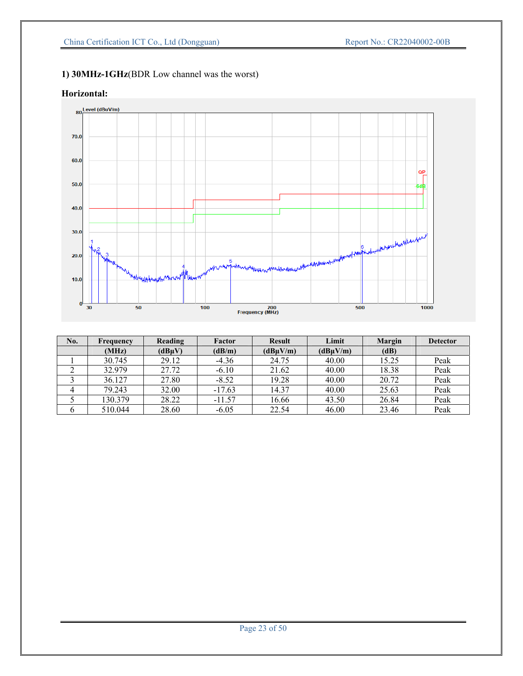## **1) 30MHz-1GHz**(BDR Low channel was the worst)

## **Horizontal:**



| No. | Frequency | Reading | Factor   | <b>Result</b> | Limit         | Margin | <b>Detector</b> |
|-----|-----------|---------|----------|---------------|---------------|--------|-----------------|
|     | (MHz)     | (dBuV)  | (dB/m)   | (dBuV/m)      | $(dB\mu V/m)$ | (dB)   |                 |
|     | 30.745    | 29.12   | $-4.36$  | 24.75         | 40.00         | 15.25  | Peak            |
|     | 32.979    | 27.72   | $-6.10$  | 21.62         | 40.00         | 18.38  | Peak            |
|     | 36.127    | 27.80   | $-8.52$  | 19.28         | 40.00         | 20.72  | Peak            |
|     | 79.243    | 32.00   | $-17.63$ | 14.37         | 40.00         | 25.63  | Peak            |
|     | 130.379   | 28.22   | $-11.57$ | 16.66         | 43.50         | 26.84  | Peak            |
|     | 510.044   | 28.60   | $-6.05$  | 22.54         | 46.00         | 23.46  | Peak            |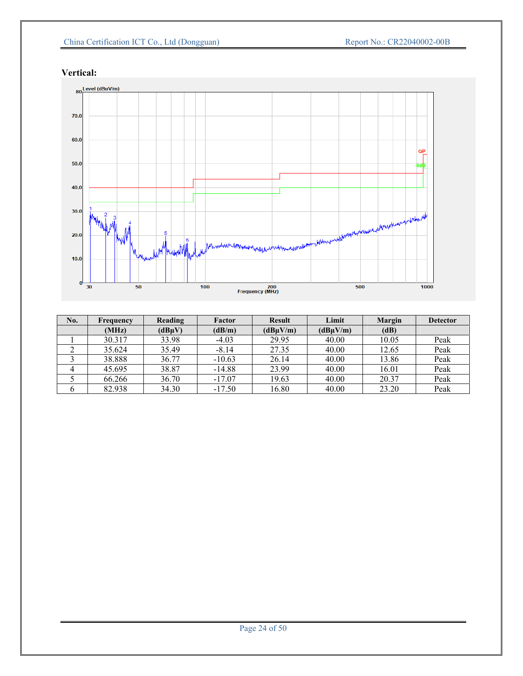## China Certification ICT Co., Ltd (Dongguan) Report No.: CR22040002-00B

 $\frac{1}{1000}$ 

 $\frac{1}{500}$ 



 $\frac{1}{100}$ 

#### **Vertical:**

 $\mathbf{0}^{\mathsf{L}}$ 

 $\overline{30}$ 

 $\frac{1}{50}$ 

| No. | Frequency | Reading | Factor   | <b>Result</b> | Limit    | <b>Margin</b> | <b>Detector</b> |
|-----|-----------|---------|----------|---------------|----------|---------------|-----------------|
|     | (MHz)     | (dBuV)  | (dB/m)   | (dBuV/m)      | (dBuV/m) | (dB)          |                 |
|     | 30.317    | 33.98   | $-4.03$  | 29.95         | 40.00    | 10.05         | Peak            |
|     | 35.624    | 35.49   | $-8.14$  | 27.35         | 40.00    | 12.65         | Peak            |
|     | 38.888    | 36.77   | $-10.63$ | 26.14         | 40.00    | 13.86         | Peak            |
|     | 45.695    | 38.87   | $-14.88$ | 23.99         | 40.00    | 16.01         | Peak            |
|     | 66.266    | 36.70   | $-17.07$ | 19.63         | 40.00    | 20.37         | Peak            |
|     | 82.938    | 34.30   | $-17.50$ | 16.80         | 40.00    | 23.20         | Peak            |

200<br>Frequency (MHz)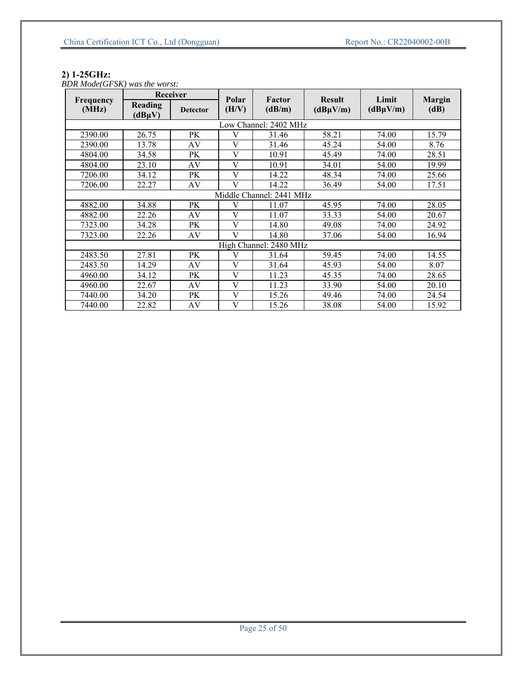#### **2) 1-25GHz:**

*BDR Mode(GFSK) was the worst:* 

| Receiver           |                        |                 |                |                          |                                |                        |                       |
|--------------------|------------------------|-----------------|----------------|--------------------------|--------------------------------|------------------------|-----------------------|
| Frequency<br>(MHz) | Reading<br>$(dB\mu V)$ | <b>Detector</b> | Polar<br>(H/V) | Factor<br>(dB/m)         | <b>Result</b><br>$(dB\mu V/m)$ | Limit<br>$(dB\mu V/m)$ | <b>Margin</b><br>(dB) |
|                    |                        |                 |                | Low Channel: 2402 MHz    |                                |                        |                       |
| 2390.00            | 26.75                  | PK              | V              | 31.46                    | 58.21                          | 74.00                  | 15.79                 |
| 2390.00            | 13.78                  | AV              | V              | 31.46                    | 45.24                          | 54.00                  | 8.76                  |
| 4804.00            | 34.58                  | PK              | V              | 10.91                    | 45.49                          | 74.00                  | 28.51                 |
| 4804.00            | 23.10                  | AV              | $\mathbf{V}$   | 10.91                    | 34.01                          | 54.00                  | 19.99                 |
| 7206.00            | 34.12                  | PK              | V              | 14.22                    | 48.34                          | 74.00                  | 25.66                 |
| 7206.00            | 22.27                  | AV              | V              | 14.22                    | 36.49                          | 54.00                  | 17.51                 |
|                    |                        |                 |                | Middle Channel: 2441 MHz |                                |                        |                       |
| 4882.00            | 34.88                  | PK              | V              | 11.07                    | 45.95                          | 74.00                  | 28.05                 |
| 4882.00            | 22.26                  | AV              | V              | 11.07                    | 33.33                          | 54.00                  | 20.67                 |
| 7323.00            | 34.28                  | PK              | $\mathbf{V}$   | 14.80                    | 49.08                          | 74.00                  | 24.92                 |
| 7323.00            | 22.26                  | AV              | V              | 14.80                    | 37.06                          | 54.00                  | 16.94                 |
|                    |                        |                 |                | High Channel: 2480 MHz   |                                |                        |                       |
| 2483.50            | 27.81                  | PK              | V              | 31.64                    | 59.45                          | 74.00                  | 14.55                 |
| 2483.50            | 14.29                  | AV              | $\overline{V}$ | 31.64                    | 45.93                          | 54.00                  | 8.07                  |
| 4960.00            | 34.12                  | PK              | V              | 11.23                    | 45.35                          | 74.00                  | 28.65                 |
| 4960.00            | 22.67                  | AV              | $\mathbf{V}$   | 11.23                    | 33.90                          | 54.00                  | 20.10                 |
| 7440.00            | 34.20                  | PK              | V              | 15.26                    | 49.46                          | 74.00                  | 24.54                 |
| 7440.00            | 22.82                  | AV              | V              | 15.26                    | 38.08                          | 54.00                  | 15.92                 |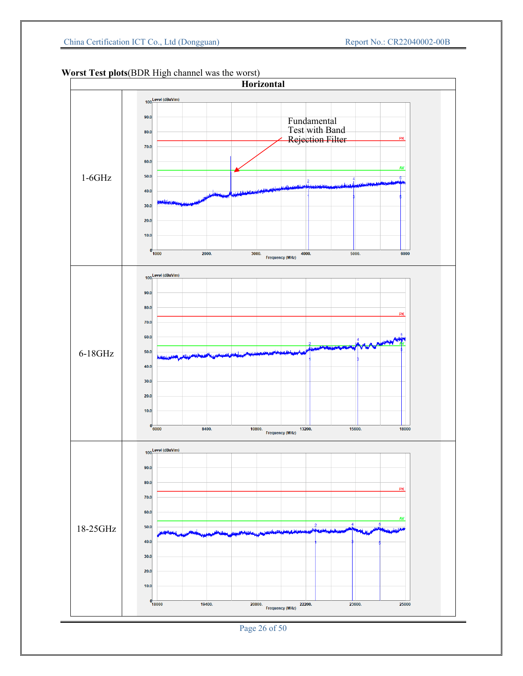

## **Worst Test plots**(BDR High channel was the worst)

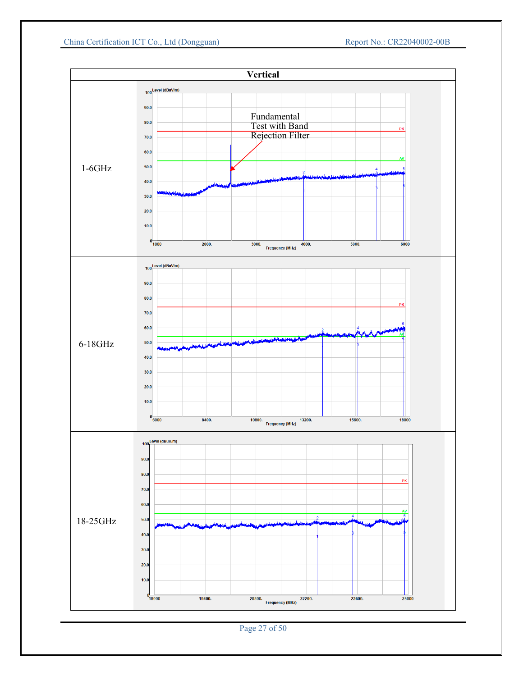

Page 27 of 50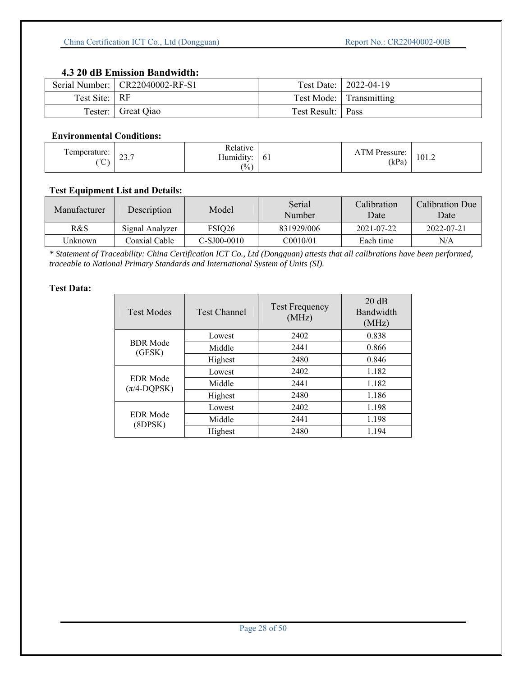## **4.3 20 dB Emission Bandwidth:**

|               | Serial Number:   CR22040002-RF-S1 |                     | Test Date:   2022-04-19 |
|---------------|-----------------------------------|---------------------|-------------------------|
| Test Site: RF |                                   |                     | Test Mode: Transmitting |
| Tester:       | Great Qiao                        | Test Result:   Pass |                         |

#### **Environmental Conditions:**

| l'emperature:<br>$\sim$<br>$\sim$ . | -<br>$\sim$<br>ا ول ک | Relative<br>$\cdots$<br>Humidity:<br>(0/0) | 0 <sup>1</sup> | <b>ATM</b> Pressure:<br>(kPa) | 101.2 |
|-------------------------------------|-----------------------|--------------------------------------------|----------------|-------------------------------|-------|
|                                     |                       |                                            |                |                               |       |

## **Test Equipment List and Details:**

| Manufacturer | Description     | Model       | Serial<br>Number | Calibration<br>Date | Calibration Due<br>Date |
|--------------|-----------------|-------------|------------------|---------------------|-------------------------|
| R&S          | Signal Analyzer | FSIQ26      | 831929/006       | 2021-07-22          | 2022-07-21              |
| Unknown      | Coaxial Cable   | C-SJ00-0010 | C0010/01         | Each time           | N/A                     |

*\* Statement of Traceability: China Certification ICT Co., Ltd (Dongguan) attests that all calibrations have been performed, traceable to National Primary Standards and International System of Units (SI).* 

| <b>Test Modes</b>                         | <b>Test Channel</b> | <b>Test Frequency</b><br>(MHz) | 20 dB<br>Bandwidth<br>(MHz) |
|-------------------------------------------|---------------------|--------------------------------|-----------------------------|
|                                           | Lowest              | 2402                           | 0.838                       |
| <b>BDR</b> Mode<br>(GFSK)                 | Middle              | 2441                           | 0.866                       |
|                                           | Highest             | 2480                           | 0.846                       |
|                                           | Lowest              | 2402                           | 1.182                       |
| <b>EDR</b> Mode<br>$(\pi/4\text{-DQPSK})$ | Middle              | 2441                           | 1.182                       |
|                                           | Highest             | 2480                           | 1.186                       |
| <b>EDR</b> Mode<br>(8DPSK)                | Lowest              | 2402                           | 1.198                       |
|                                           | Middle              | 2441                           | 1.198                       |
|                                           | Highest             | 2480                           | 1.194                       |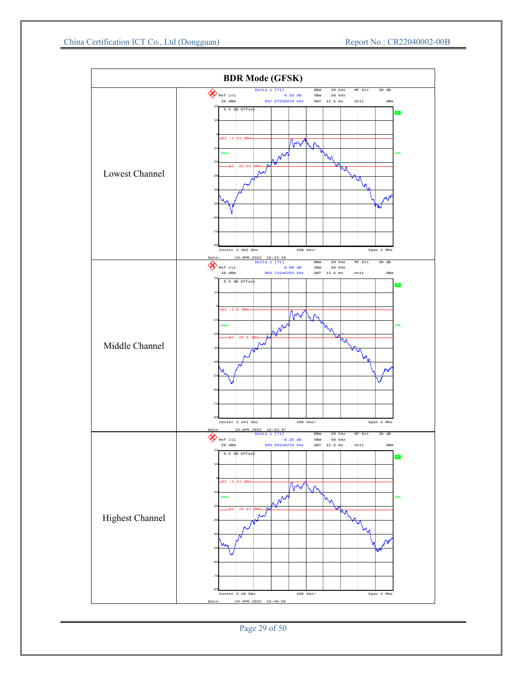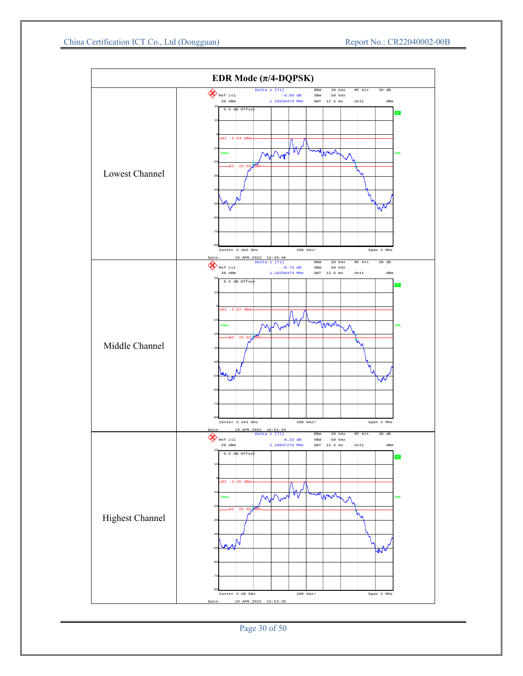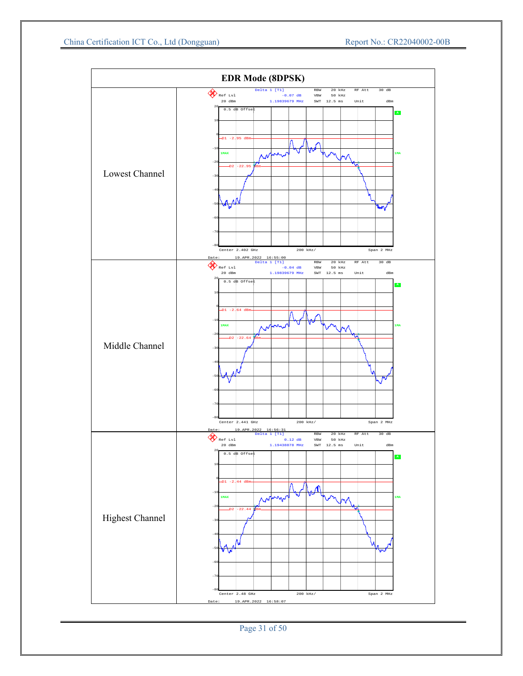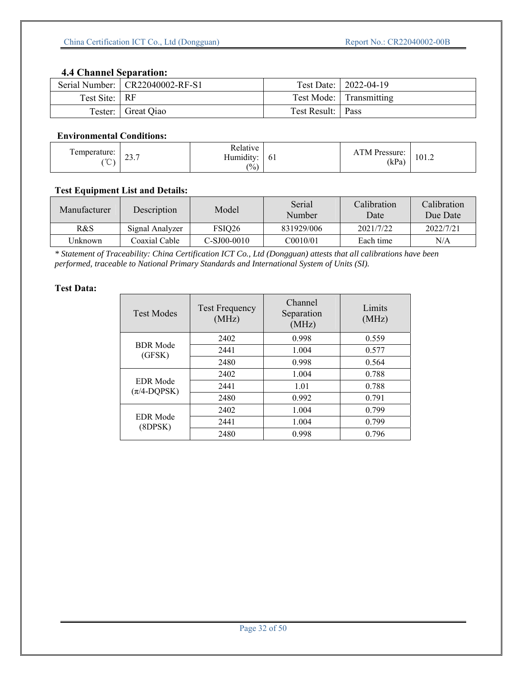## **4.4 Channel Separation:**

|               | Serial Number:   CR22040002-RF-S1 |                     | Test Date:   2022-04-19 |
|---------------|-----------------------------------|---------------------|-------------------------|
| Test Site: RF |                                   |                     | Test Mode: Transmitting |
| Tester:       | Great Qiao                        | Test Result:   Pass |                         |

#### **Environmental Conditions:**

| Temperature:<br>$\sim$<br>◡ | $\sim$<br>$\angle 3.1$ | Relative<br>$\cdot$ $\cdot$<br>$\mathbf{r}$<br>Humidity:<br>$\frac{(0)}{0}$ | <sup>61</sup> | $TM$ .<br>ATM Pressure:<br>(kPa) | 101.2 |
|-----------------------------|------------------------|-----------------------------------------------------------------------------|---------------|----------------------------------|-------|
|                             |                        |                                                                             |               |                                  |       |

## **Test Equipment List and Details:**

| Manufacturer | Description     | Model         | Serial<br>Number | Calibration<br>Date | Calibration<br>Due Date |
|--------------|-----------------|---------------|------------------|---------------------|-------------------------|
| R&S          | Signal Analyzer | FSIQ26        | 831929/006       | 2021/7/22           | 2022/7/21               |
| Unknown      | Coaxial Cable   | $C-SJ00-0010$ | C0010/01         | Each time           | N/A                     |

*\* Statement of Traceability: China Certification ICT Co., Ltd (Dongguan) attests that all calibrations have been performed, traceable to National Primary Standards and International System of Units (SI).* 

| <b>Test Modes</b>                         | <b>Test Frequency</b><br>(MHz) | Channel<br>Separation<br>(MHz) | Limits<br>(MHz) |
|-------------------------------------------|--------------------------------|--------------------------------|-----------------|
|                                           | 2402                           | 0.998                          | 0.559           |
| <b>BDR</b> Mode<br>(GFSK)                 | 2441                           | 1.004                          | 0.577           |
|                                           | 2480                           | 0.998                          | 0.564           |
| <b>EDR</b> Mode<br>$(\pi/4\text{-DQPSK})$ | 2402                           | 1.004                          | 0.788           |
|                                           | 2441                           | 1.01                           | 0.788           |
|                                           | 2480                           | 0.992                          | 0.791           |
| <b>EDR</b> Mode<br>(8DPSK)                | 2402                           | 1.004                          | 0.799           |
|                                           | 2441                           | 1.004                          | 0.799           |
|                                           | 2480                           | 0.998                          | 0.796           |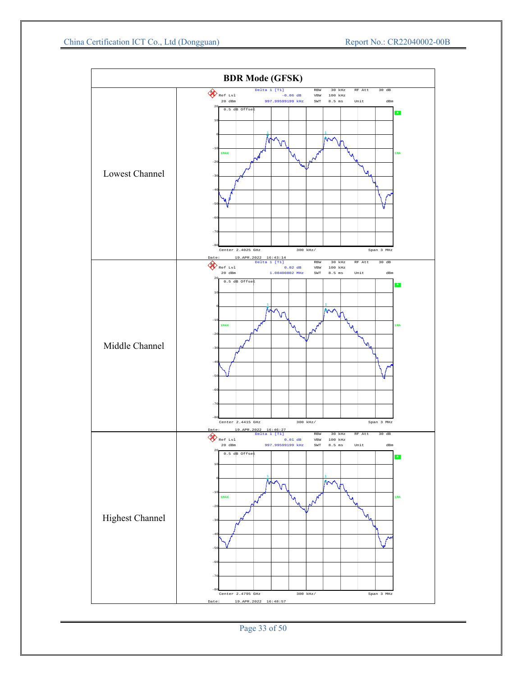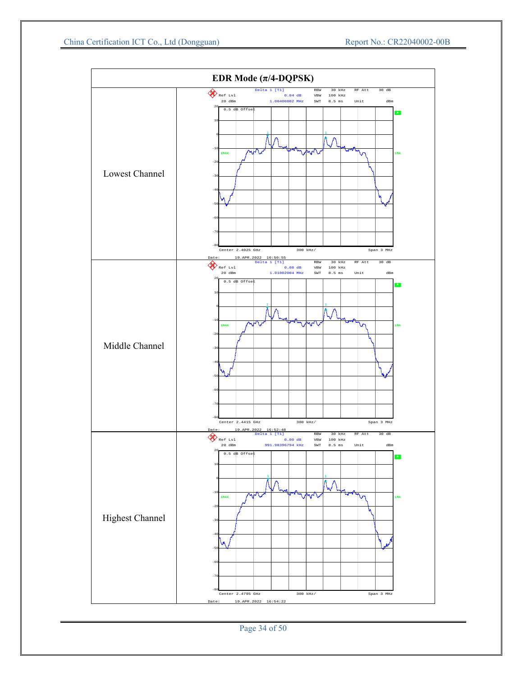

Page 34 of 50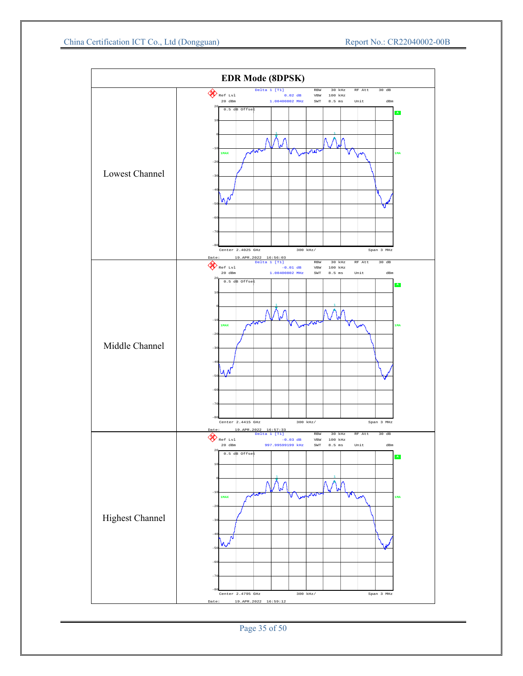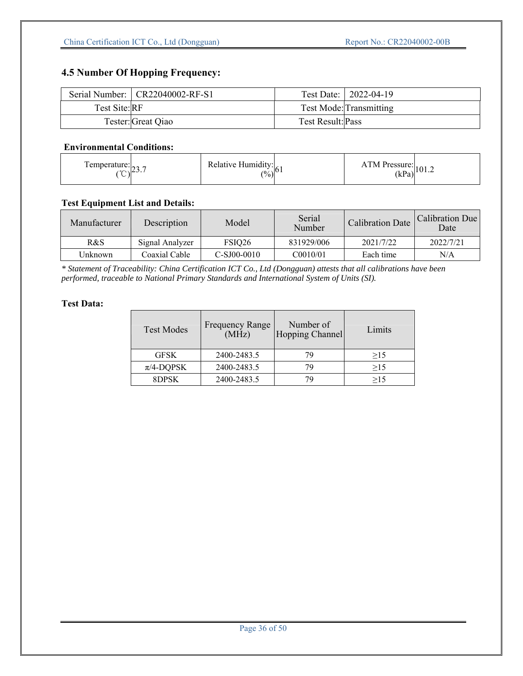## **4.5 Number Of Hopping Frequency:**

|               | Serial Number:   CR22040002-RF-S1 |                          | Test Date:   2022-04-19 |
|---------------|-----------------------------------|--------------------------|-------------------------|
| Test Site: RF |                                   |                          | Test Mode: Transmitting |
|               | Tester: Great Qiao                | <b>Test Result: Pass</b> |                         |

#### **Environmental Conditions:**

| femperature: $\vert_{22}$<br>$\sim$ 20.1 | Relative Humidity: $\begin{bmatrix} (9/6) \\ (1/1) \end{bmatrix}$ | ATM Pressure: $(kPa)^{101.2}$ |
|------------------------------------------|-------------------------------------------------------------------|-------------------------------|
|                                          |                                                                   |                               |

#### **Test Equipment List and Details:**

| Manufacturer | Description     | Model              | Serial<br>Number      | <b>Calibration Date</b> | Calibration Due<br>Date |
|--------------|-----------------|--------------------|-----------------------|-------------------------|-------------------------|
| R&S          | Signal Analyzer | FSIO <sub>26</sub> | 831929/006            | 2021/7/22               | 2022/7/21               |
| Unknown      | Coaxial Cable   | $C-SJ00-0010$      | C <sub>0010</sub> /01 | Each time               | N/A                     |

*\* Statement of Traceability: China Certification ICT Co., Ltd (Dongguan) attests that all calibrations have been performed, traceable to National Primary Standards and International System of Units (SI).* 

| <b>Test Modes</b> | <b>Frequency Range</b><br>(MHz) | Number of<br>Hopping Channel | Limits |
|-------------------|---------------------------------|------------------------------|--------|
| <b>GFSK</b>       | 2400-2483.5                     | 79                           | >15    |
| $\pi$ /4-DQPSK    | 2400-2483.5                     | 7 Q                          | >15    |
| 8DPSK             | 2400-2483.5                     |                              | >15    |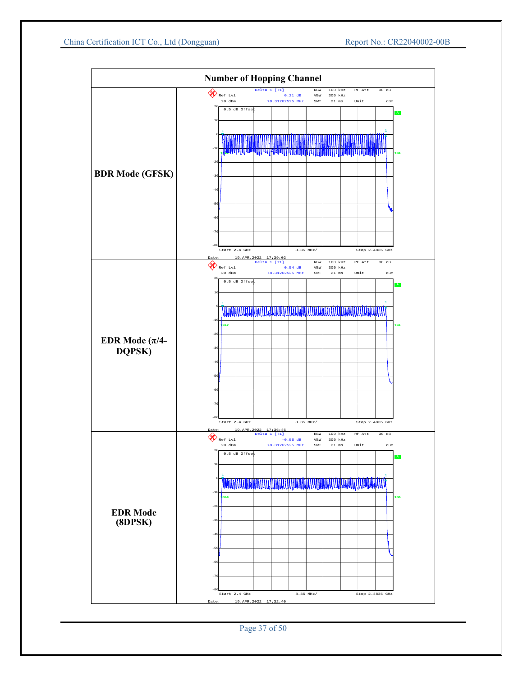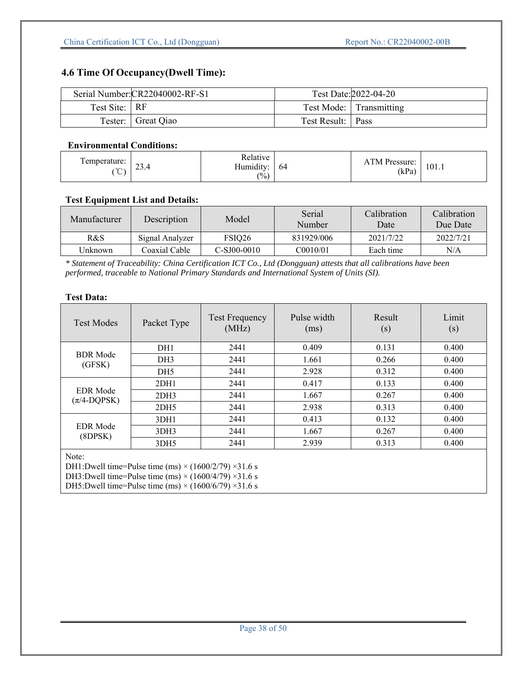## **4.6 Time Of Occupancy(Dwell Time):**

|               | Serial Number: CR22040002-RF-S1 |                   | Test Date: 2022-04-20   |
|---------------|---------------------------------|-------------------|-------------------------|
| Test Site: RF |                                 |                   | Test Mode: Transmitting |
|               | Tester: Great Qiao              | Test Result: Pass |                         |

#### **Environmental Conditions:**

| emperature:<br>$\sim$<br>23.4<br>$\sim$<br>$\check{ }$ | Relative<br>$\cdot$ $\cdot$<br>$- -$<br>Humidity:<br>64<br>(0/0) | TM Pressure:<br>(kPa) | 101.1 |
|--------------------------------------------------------|------------------------------------------------------------------|-----------------------|-------|
|--------------------------------------------------------|------------------------------------------------------------------|-----------------------|-------|

## **Test Equipment List and Details:**

| Manufacturer | Description     | Model              | Serial<br>Number | Calibration<br>Date | Calibration<br>Due Date |
|--------------|-----------------|--------------------|------------------|---------------------|-------------------------|
| R&S          | Signal Analyzer | FSIO <sub>26</sub> | 831929/006       | 2021/7/22           | 2022/7/21               |
| Unknown      | Coaxial Cable   | $C-SJ00-0010$      | C0010/01         | Each time           | N/A                     |

*\* Statement of Traceability: China Certification ICT Co., Ltd (Dongguan) attests that all calibrations have been performed, traceable to National Primary Standards and International System of Units (SI).* 

| <b>Test Modes</b>                                                                                                                                                                                                          | Packet Type      | <b>Test Frequency</b><br>(MHz) | Pulse width<br>(ms) | Result<br>(s) | Limit<br>(s) |  |
|----------------------------------------------------------------------------------------------------------------------------------------------------------------------------------------------------------------------------|------------------|--------------------------------|---------------------|---------------|--------------|--|
|                                                                                                                                                                                                                            | DH1              | 2441                           | 0.409               | 0.131         | 0.400        |  |
| <b>BDR</b> Mode<br>(GFSK)                                                                                                                                                                                                  | DH <sub>3</sub>  | 2441                           | 1.661               | 0.266         | 0.400        |  |
|                                                                                                                                                                                                                            | DH <sub>5</sub>  | 2441                           | 2.928               | 0.312         | 0.400        |  |
|                                                                                                                                                                                                                            | 2DH1             | 2441                           | 0.417               | 0.133         | 0.400        |  |
| <b>EDR</b> Mode<br>$(\pi/4\text{-DQPSK})$                                                                                                                                                                                  | 2DH3             | 2441                           | 1.667               | 0.267         | 0.400        |  |
|                                                                                                                                                                                                                            | 2 <sub>DH5</sub> | 2441                           | 2.938               | 0.313         | 0.400        |  |
| <b>EDR</b> Mode<br>(8DPSK)                                                                                                                                                                                                 | 3DH1             | 2441                           | 0.413               | 0.132         | 0.400        |  |
|                                                                                                                                                                                                                            | 3DH3             | 2441                           | 1.667               | 0.267         | 0.400        |  |
|                                                                                                                                                                                                                            | 3DH5             | 2441                           | 2.939               | 0.313         | 0.400        |  |
| Note:<br>DH1:Dwell time=Pulse time (ms) $\times$ (1600/2/79) $\times$ 31.6 s<br>DH3:Dwell time=Pulse time (ms) $\times$ (1600/4/79) $\times$ 31.6 s<br>DH5:Dwell time=Pulse time (ms) $\times$ (1600/6/79) $\times$ 31.6 s |                  |                                |                     |               |              |  |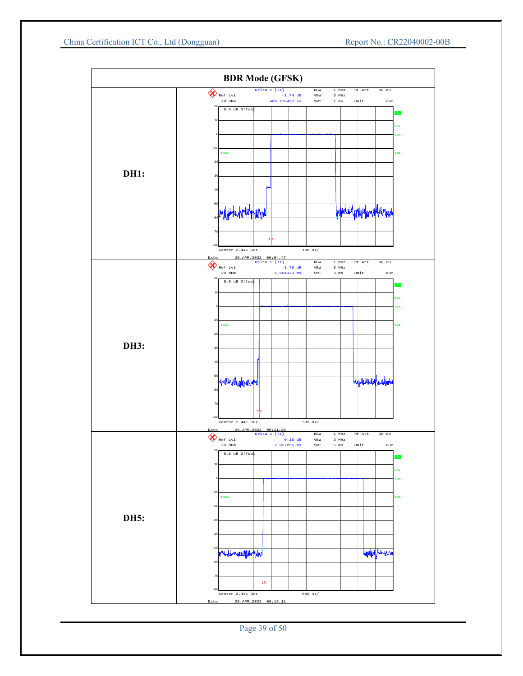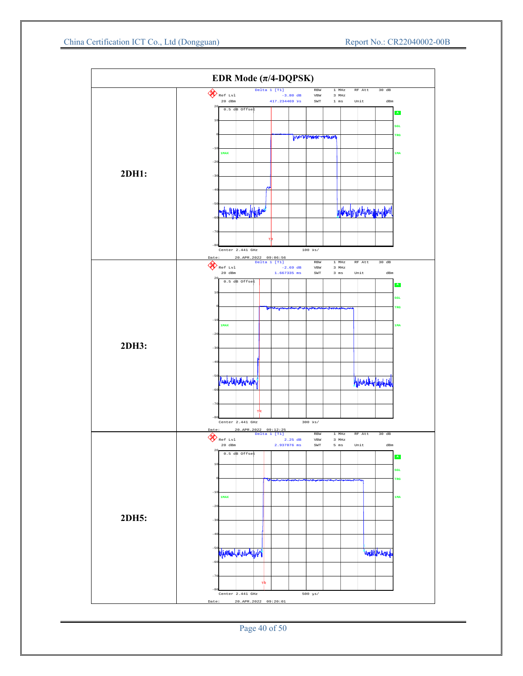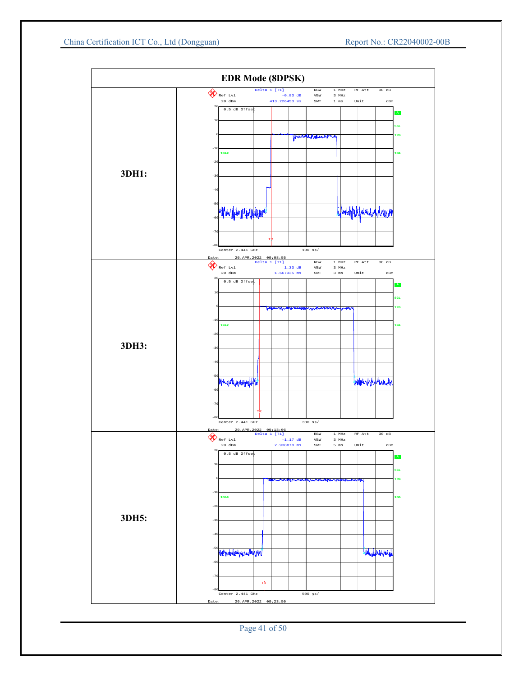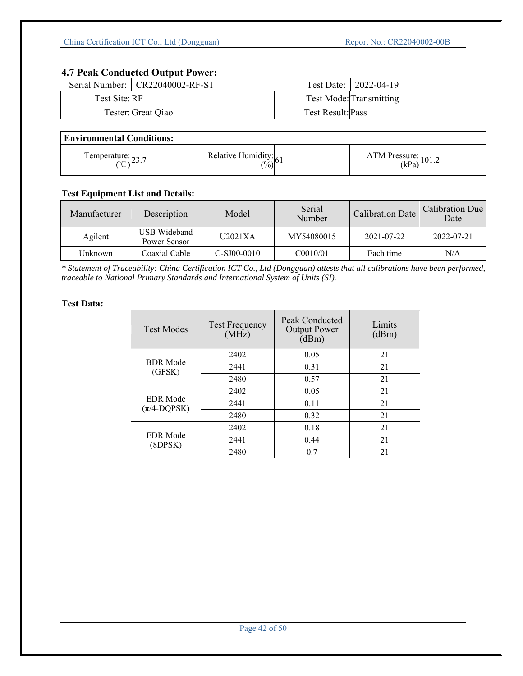## **4.7 Peak Conducted Output Power:**

|               | Serial Number:   CR22040002-RF-S1 |                   | Test Date:   2022-04-19 |
|---------------|-----------------------------------|-------------------|-------------------------|
| Test Site: RF |                                   |                   | Test Mode: Transmitting |
|               | Tester: Great Qiao                | Test Result: Pass |                         |

| <b>Environmental Conditions:</b>                |                                                                 |  |                               |  |  |  |  |
|-------------------------------------------------|-----------------------------------------------------------------|--|-------------------------------|--|--|--|--|
| Temperature: $\vert_{22}$<br>$(°\cap)^{\angle}$ | Relative Humidity: $\begin{bmatrix} (96) \\ (16) \end{bmatrix}$ |  | ATM Pressure: $(kPa)^{101.2}$ |  |  |  |  |

## **Test Equipment List and Details:**

| Manufacturer | Description                  | Model         | Serial<br>Number | <b>Calibration Date</b> | Calibration Due<br>Date |
|--------------|------------------------------|---------------|------------------|-------------------------|-------------------------|
| Agilent      | USB Wideband<br>Power Sensor | U2021XA       | MY54080015       | 2021-07-22              | 2022-07-21              |
| Unknown      | Coaxial Cable                | $C-SJ00-0010$ | C0010/01         | Each time               | N/A                     |

*\* Statement of Traceability: China Certification ICT Co., Ltd (Dongguan) attests that all calibrations have been performed, traceable to National Primary Standards and International System of Units (SI).* 

| <b>Test Frequency</b><br><b>Test Modes</b><br>(MHz) |      | Peak Conducted<br><b>Output Power</b><br>(dBm) | Limits<br>(dBm) |  |
|-----------------------------------------------------|------|------------------------------------------------|-----------------|--|
|                                                     | 2402 | 0.05                                           | 21              |  |
| <b>BDR</b> Mode<br>(GFSK)                           | 2441 | 0.31                                           | 21              |  |
|                                                     | 2480 | 0.57                                           | 21              |  |
|                                                     | 2402 | 0.05                                           | 21              |  |
| <b>EDR</b> Mode<br>$(\pi/4\text{-DQPSK})$           | 2441 | 0.11                                           | 21              |  |
|                                                     | 2480 | 0.32                                           | 21              |  |
|                                                     | 2402 | 0.18                                           | 21              |  |
| <b>EDR</b> Mode<br>(8DPSK)                          | 2441 | 0.44                                           | 21              |  |
|                                                     | 2480 | 0.7                                            | 21              |  |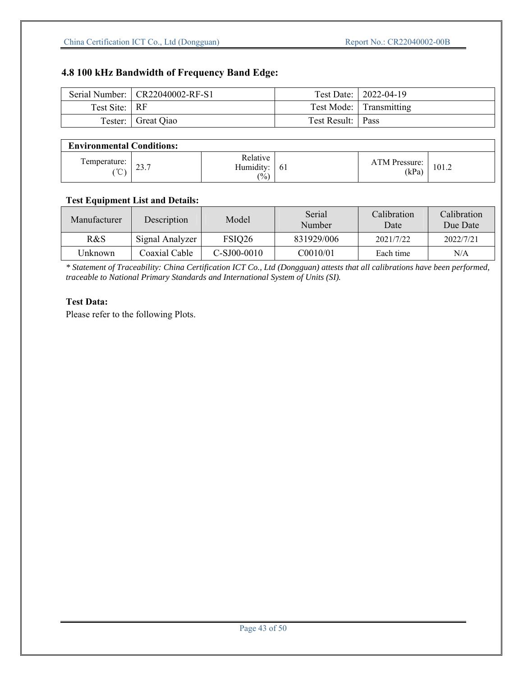## **4.8 100 kHz Bandwidth of Frequency Band Edge:**

|               | Serial Number:   CR22040002-RF-S1 |                     | Test Date:   2022-04-19 |
|---------------|-----------------------------------|---------------------|-------------------------|
| Test Site: RF |                                   |                     | Test Mode: Transmitting |
|               | Tester: Great Qiao                | Test Result:   Pass |                         |

## **Environmental Conditions:**

| Environmental Contribution  |                      |                                 |    |                              |       |  |  |  |
|-----------------------------|----------------------|---------------------------------|----|------------------------------|-------|--|--|--|
| Temperature:<br>$\sim$<br>◡ | $\sim$ $\sim$<br>ن ک | Relative<br>Humidity:<br>$(\%)$ | 61 | <b>TM Pressure:</b><br>(kPa) | 101.2 |  |  |  |

#### **Test Equipment List and Details:**

| Manufacturer             | Description     | Model              | Serial<br>Number | Calibration<br>Date | Calibration<br>Due Date |
|--------------------------|-----------------|--------------------|------------------|---------------------|-------------------------|
| R&S                      | Signal Analyzer | FSIQ <sub>26</sub> | 831929/006       | 2021/7/22           | 2022/7/21               |
| Coaxial Cable<br>Unknown |                 | $C-SJ00-0010$      | C0010/01         | Each time           | N/A                     |

*\* Statement of Traceability: China Certification ICT Co., Ltd (Dongguan) attests that all calibrations have been performed, traceable to National Primary Standards and International System of Units (SI).* 

### **Test Data:**

Please refer to the following Plots.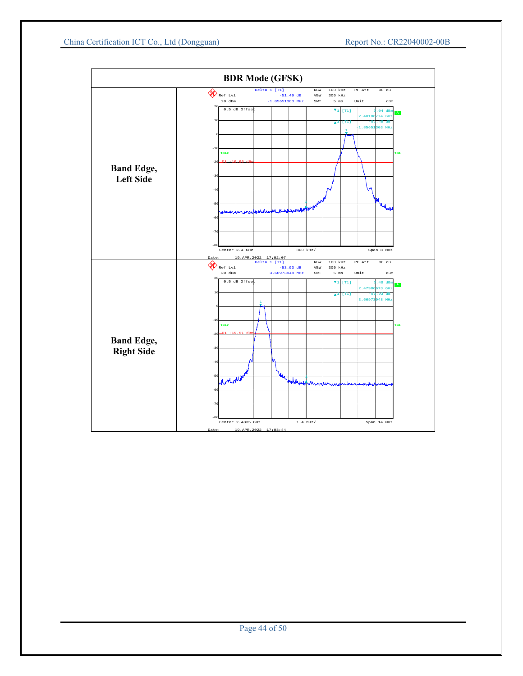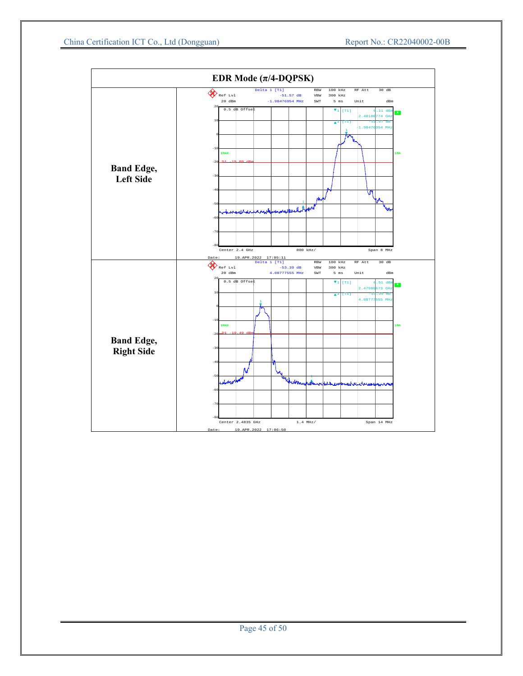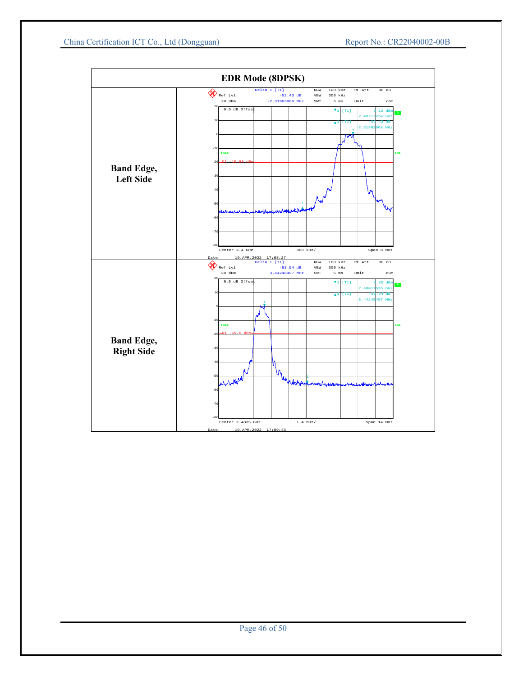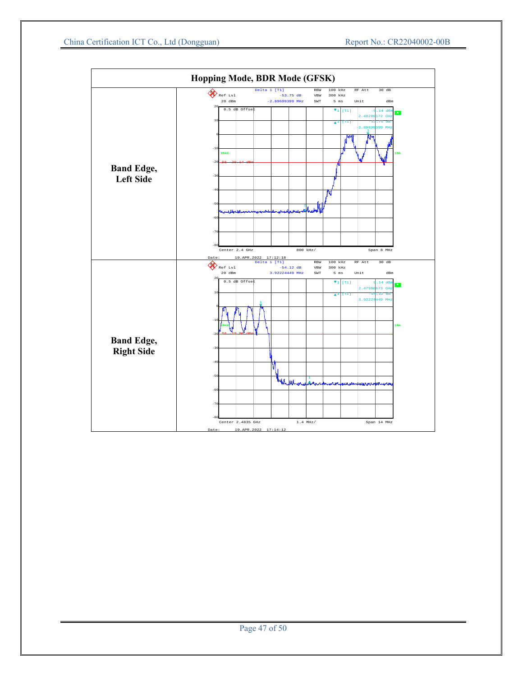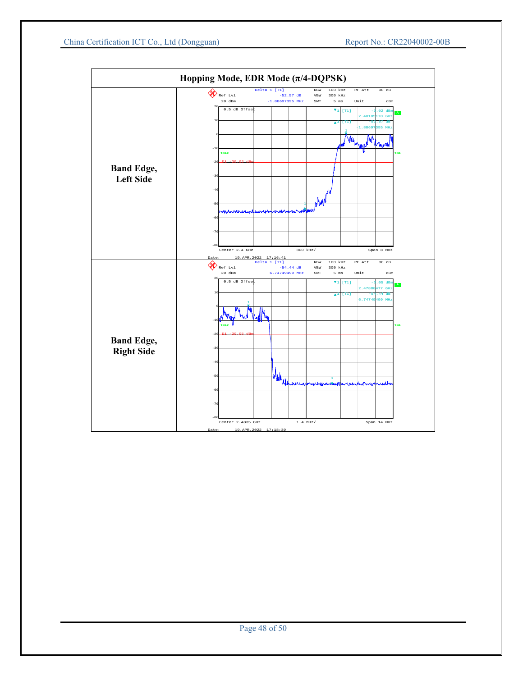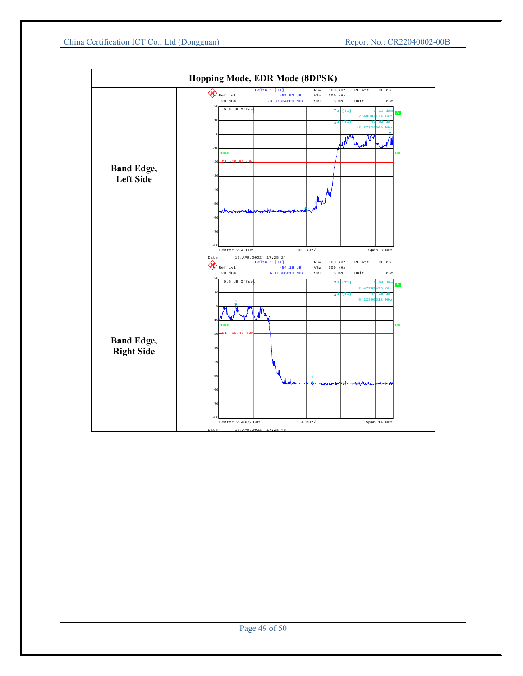